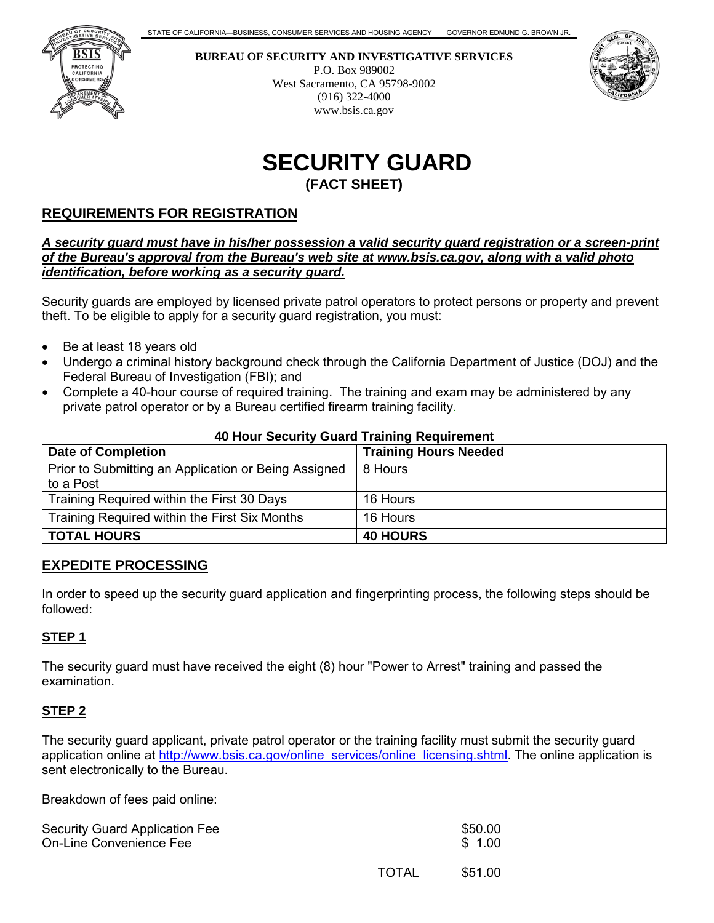

**BUREAU OF SECURITY AND INVESTIGATIVE SERVICES** P.O. Box 989002 West Sacramento, CA 95798-9002 (916) 322-4000 www.bsis.ca.gov



# **SECURITY GUARD (FACT SHEET)**

# **REQUIREMENTS FOR REGISTRATION**

*A security guard must have in his/her possession a valid security guard registration or a screen-print of the Bureau's approval from the Bureau's web site at www.bsis.ca.gov, along with a valid photo identification, before working as a security guard.*

Security guards are employed by licensed private patrol operators to protect persons or property and prevent theft. To be eligible to apply for a security guard registration, you must:

- Be at least 18 years old
- Undergo a criminal history background check through the California Department of Justice (DOJ) and the Federal Bureau of Investigation (FBI); and
- Complete a 40-hour course of required training. The training and exam may be administered by any private patrol operator or by a Bureau certified firearm training facility.

#### **40 Hour Security Guard Training Requirement**

| <b>Date of Completion</b>                                         | <b>Training Hours Needed</b> |
|-------------------------------------------------------------------|------------------------------|
| Prior to Submitting an Application or Being Assigned<br>to a Post | 8 Hours                      |
| Training Required within the First 30 Days                        | 16 Hours                     |
| Training Required within the First Six Months                     | 16 Hours                     |
| <b>TOTAL HOURS</b>                                                | <b>40 HOURS</b>              |

## **EXPEDITE PROCESSING**

In order to speed up the security guard application and fingerprinting process, the following steps should be followed:

#### **STEP 1**

The security guard must have received the eight (8) hour "Power to Arrest" training and passed the examination.

#### **STEP 2**

The security guard applicant, private patrol operator or the training facility must submit the security guard application online at [http://www.bsis.ca.gov/online\\_services/online\\_licensing.shtml.](http://www.bsis.ca.gov/online_services/online_licensing.shtml) The online application is sent electronically to the Bureau.

Breakdown of fees paid online:

| Security Guard Application Fee<br>On-Line Convenience Fee |       | \$50.00<br>\$1.00 |
|-----------------------------------------------------------|-------|-------------------|
|                                                           | TOTAL | \$51.00           |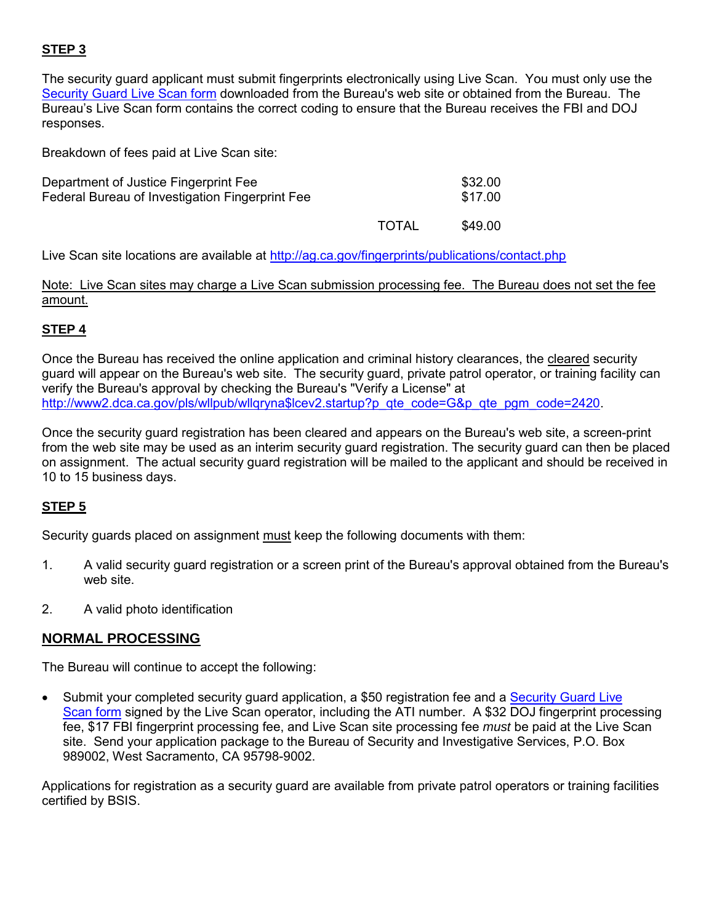# **STEP 3**

The security guard applicant must submit fingerprints electronically using Live Scan. You must only use the [Security Guard Live Scan form](http://www.bsis.ca.gov/forms_pubs/livescan/g.pdf) downloaded from the Bureau's web site or obtained from the Bureau. The Bureau's Live Scan form contains the correct coding to ensure that the Bureau receives the FBI and DOJ responses.

Breakdown of fees paid at Live Scan site:

| Department of Justice Fingerprint Fee<br>Federal Bureau of Investigation Fingerprint Fee | \$32.00<br>\$17.00 |
|------------------------------------------------------------------------------------------|--------------------|
|                                                                                          |                    |

to the state of the state of the state of the state of the state of the state of the state of the state of the

Live Scan site locations are available at http://ag.ca.gov/fingerprints/publications/contact.php

Note: Live Scan sites may charge a Live Scan submission processing fee. The Bureau does not set the fee amount.

# **STEP 4**

Once the Bureau has received the online application and criminal history clearances, the cleared security guard will appear on the Bureau's web site. The security guard, private patrol operator, or training facility can verify the Bureau's approval by checking the Bureau's "Verify a License" at [http://www2.dca.ca.gov/pls/wllpub/wllqryna\\$lcev2.startup?p\\_qte\\_code=G&p\\_qte\\_pgm\\_code=2420.](http://www2.dca.ca.gov/pls/wllpub/wllqryna$lcev2.startup?p_qte_code=G&p_qte_pgm_code=2420)

Once the security guard registration has been cleared and appears on the Bureau's web site, a screen-print from the web site may be used as an interim security guard registration. The security guard can then be placed on assignment. The actual security guard registration will be mailed to the applicant and should be received in 10 to 15 business days.

# **STEP 5**

Security guards placed on assignment must keep the following documents with them:

- 1. A valid security guard registration or a screen print of the Bureau's approval obtained from the Bureau's web site.
- 2. A valid photo identification

## **NORMAL PROCESSING**

The Bureau will continue to accept the following:

• Submit your completed security quard application, a \$50 registration fee and a Security Guard Live [Scan form](http://www.bsis.ca.gov/forms_pubs/livescan/g.pdf) signed by the Live Scan operator, including the ATI number. A \$32 DOJ fingerprint processing fee, \$17 FBI fingerprint processing fee, and Live Scan site processing fee *must* be paid at the Live Scan site. Send your application package to the Bureau of Security and Investigative Services, P.O. Box 989002, West Sacramento, CA 95798-9002.

Applications for registration as a security guard are available from private patrol operators or training facilities certified by BSIS.